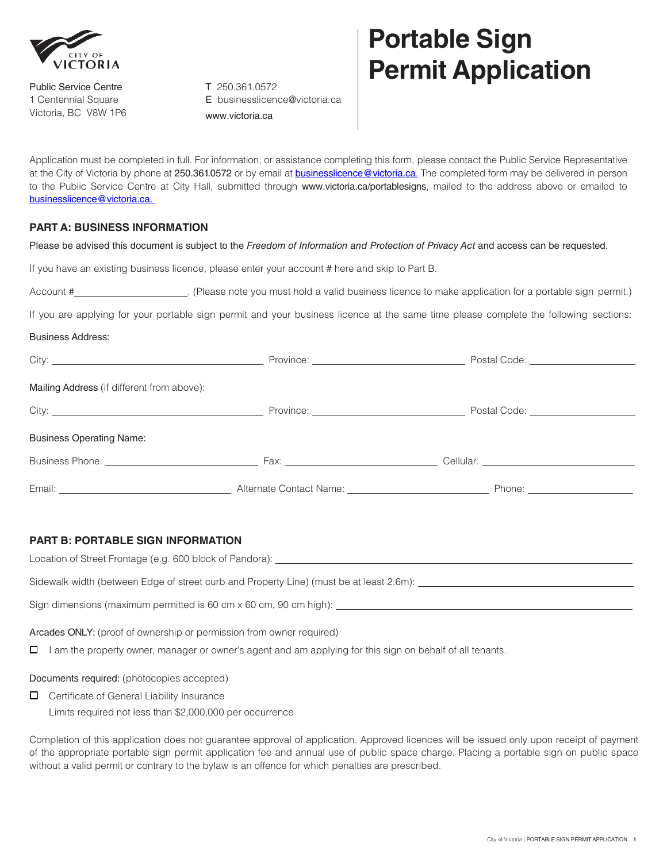

Public Service Centre 1 Centennial Square Victoria, BC V8W 1P6

T 250.361.0572 E [businesslicence@victoria.ca](mailto:portablesigns@victoria.ca) [www.victoria.ca](http://www.victoria.ca/)

## **Portable Sign Permit Application**

Application must be completed in full. For information, or assistance completing this form, please contact the Public Service Representative at the City of Victoria by phone at 250.361.0572 or by email at **[businesslicence@victoria.ca](mailto:businesslicence@victoria.ca.)**. The completed form may be delivered in person to the Public Service Centre at City Hall, submitted through [www.victoria.ca/portablesigns](http://www.victoria.ca/portablesigns), mailed to the address above or emailed to [businesslicence@victoria.ca.](mailto:businesslicence@victoria.ca.) 

## **PART A: BUSINESS INFORMATION**

Please be advised this document is subject to the *Freedom of Information and Protection of Privacy Act* and access can be requested.

If you have an existing business licence, please enter your account # here and skip to Part B.

| Account # | . (Please note you must hold a valid business licence to make application for a portable sign permit.) |  |
|-----------|--------------------------------------------------------------------------------------------------------|--|
|           |                                                                                                        |  |

If you are applying for your portable sign permit and your business licence at the same time please complete the following sections:

Business Address:

|                                            | Postal Code: <u>_____________________</u> |
|--------------------------------------------|-------------------------------------------|
| Mailing Address (if different from above): |                                           |
|                                            | Postal Code: _____________________        |
| <b>Business Operating Name:</b>            |                                           |
|                                            |                                           |
|                                            |                                           |

## **PART B: PORTABLE SIGN INFORMATION**

Location of Street Frontage (e.g. 600 block of Pandora): \_\_\_\_\_\_\_\_\_\_\_\_\_\_\_\_\_\_\_\_\_\_\_

Sidewalk width (between Edge of street curb and Property Line) (must be at least 2.6m): \_\_\_\_\_\_\_\_\_\_\_\_\_\_\_\_\_\_\_\_\_\_

Sign dimensions (maximum permitted is 60 cm x 60 cm, 90 cm high): \_\_\_\_\_\_\_\_\_\_\_\_\_\_\_\_\_\_\_\_\_\_

Arcades ONLY: (proof of ownership or permission from owner required)

 $\Box$  I am the property owner, manager or owner's agent and am applying for this sign on behalf of all tenants.

Documents required: (photocopies accepted)

 $\Box$  Certificate of General Liability Insurance Limits required not less than \$2,000,000 per occurrence

Completion of this application does not guarantee approval of application. Approved licences will be issued only upon receipt of payment of the appropriate portable sign permit application fee and annual use of public space charge. Placing a portable sign on public space without a valid permit or contrary to the bylaw is an offence for which penalties are prescribed.